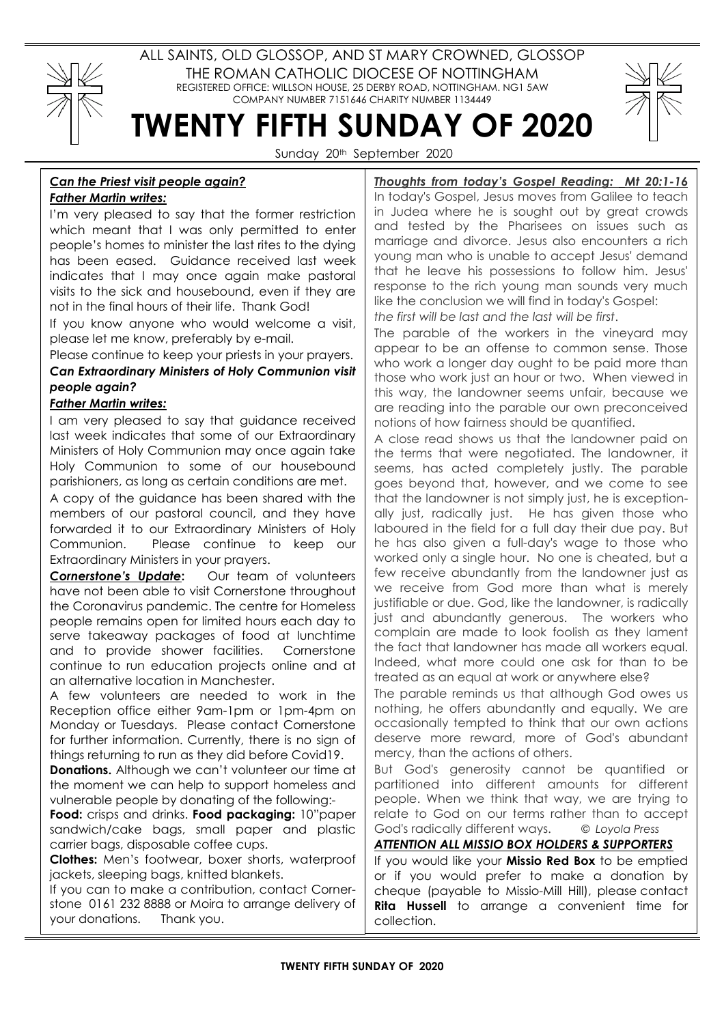## ALL SAINTS, OLD GLOSSOP, AND ST MARY CROWNED, GLOSSOP THE ROMAN CATHOLIC DIOCESE OF NOTTINGHAM REGISTERED OFFICE: WILLSON HOUSE, 25 DERBY ROAD, NOTTINGHAM. NG1 5AW COMPANY NUMBER 7151646 CHARITY NUMBER 1134449



TWENTY FIFTH SUNDAY OF 2020 Sunday 20<sup>th</sup> September 2020

## Can the Priest visit people again? Father Martin writes:

I'm very pleased to say that the former restriction which meant that I was only permitted to enter people's homes to minister the last rites to the dying has been eased. Guidance received last week indicates that I may once again make pastoral visits to the sick and housebound, even if they are not in the final hours of their life. Thank God!

If you know anyone who would welcome a visit, please let me know, preferably by e-mail.

Please continue to keep your priests in your prayers.

Can Extraordinary Ministers of Holy Communion visit people again?

## Father Martin writes:

I am very pleased to say that guidance received last week indicates that some of our Extraordinary Ministers of Holy Communion may once again take Holy Communion to some of our housebound parishioners, as long as certain conditions are met.

A copy of the guidance has been shared with the members of our pastoral council, and they have forwarded it to our Extraordinary Ministers of Holy Communion. Please continue to keep our Extraordinary Ministers in your prayers.

Cornerstone's Update: Our team of volunteers have not been able to visit Cornerstone throughout the Coronavirus pandemic. The centre for Homeless people remains open for limited hours each day to serve takeaway packages of food at lunchtime and to provide shower facilities. Cornerstone continue to run education projects online and at an alternative location in Manchester.

A few volunteers are needed to work in the Reception office either 9am-1pm or 1pm-4pm on Monday or Tuesdays. Please contact Cornerstone for further information. Currently, there is no sign of things returning to run as they did before Covid19.

Donations. Although we can't volunteer our time at the moment we can help to support homeless and vulnerable people by donating of the following:-

Food: crisps and drinks. Food packaging: 10"paper sandwich/cake bags, small paper and plastic carrier bags, disposable coffee cups.

Clothes: Men's footwear, boxer shorts, waterproof jackets, sleeping bags, knitted blankets.

If you can to make a contribution, contact Cornerstone 0161 232 8888 or Moira to arrange delivery of your donations. Thank you.

Thoughts from today's Gospel Reading: Mt 20:1-16 In today's Gospel, Jesus moves from Galilee to teach in Judea where he is sought out by great crowds and tested by the Pharisees on issues such as marriage and divorce. Jesus also encounters a rich young man who is unable to accept Jesus' demand that he leave his possessions to follow him. Jesus' response to the rich young man sounds very much like the conclusion we will find in today's Gospel: the first will be last and the last will be first.

The parable of the workers in the vineyard may appear to be an offense to common sense. Those who work a longer day ought to be paid more than those who work just an hour or two. When viewed in this way, the landowner seems unfair, because we are reading into the parable our own preconceived notions of how fairness should be quantified.

A close read shows us that the landowner paid on the terms that were negotiated. The landowner, it seems, has acted completely justly. The parable goes beyond that, however, and we come to see that the landowner is not simply just, he is exceptionally just, radically just. He has given those who laboured in the field for a full day their due pay. But he has also given a full-day's wage to those who worked only a single hour. No one is cheated, but a few receive abundantly from the landowner just as we receive from God more than what is merely justifiable or due. God, like the landowner, is radically just and abundantly generous. The workers who complain are made to look foolish as they lament the fact that landowner has made all workers equal. Indeed, what more could one ask for than to be treated as an equal at work or anywhere else?

The parable reminds us that although God owes us nothing, he offers abundantly and equally. We are occasionally tempted to think that our own actions deserve more reward, more of God's abundant mercy, than the actions of others.

But God's generosity cannot be quantified or partitioned into different amounts for different people. When we think that way, we are trying to relate to God on our terms rather than to accept God's radically different ways. © Loyola Press

ATTENTION ALL MISSIO BOX HOLDERS & SUPPORTERS

If you would like your **Missio Red Box** to be emptied or if you would prefer to make a donation by cheque (payable to Missio-Mill Hill), please contact Rita Hussell to arrange a convenient time for collection.